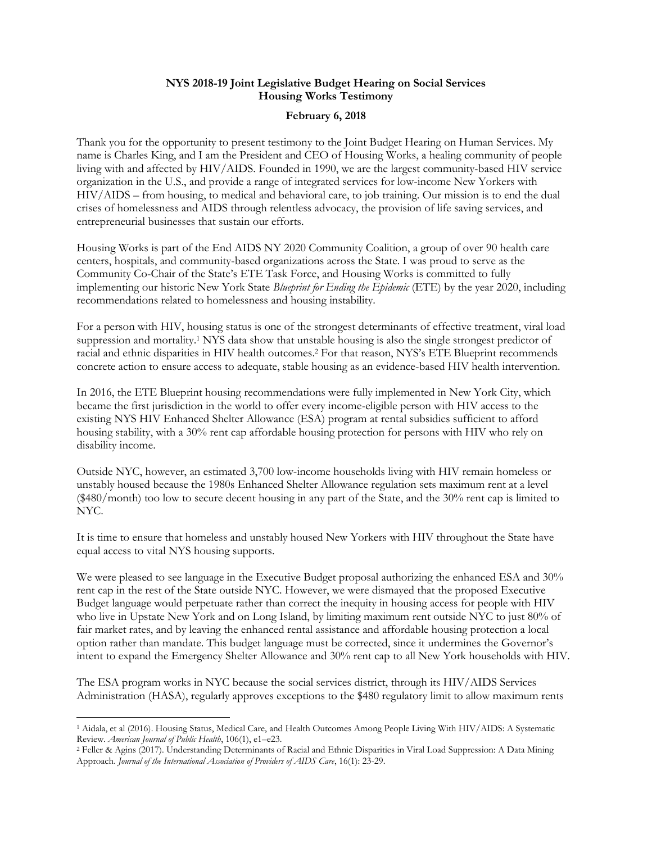## **NYS 2018-19 Joint Legislative Budget Hearing on Social Services Housing Works Testimony**

## **February 6, 2018**

Thank you for the opportunity to present testimony to the Joint Budget Hearing on Human Services. My name is Charles King, and I am the President and CEO of Housing Works, a healing community of people living with and affected by HIV/AIDS. Founded in 1990, we are the largest community-based HIV service organization in the U.S., and provide a range of integrated services for low-income New Yorkers with HIV/AIDS – from housing, to medical and behavioral care, to job training. Our mission is to end the dual crises of homelessness and AIDS through relentless advocacy, the provision of life saving services, and entrepreneurial businesses that sustain our efforts.

Housing Works is part of the End AIDS NY 2020 Community Coalition, a group of over 90 health care centers, hospitals, and community-based organizations across the State. I was proud to serve as the Community Co-Chair of the State's ETE Task Force, and Housing Works is committed to fully implementing our historic New York State *Blueprint for Ending the Epidemic* (ETE) by the year 2020, including recommendations related to homelessness and housing instability.

For a person with HIV, housing status is one of the strongest determinants of effective treatment, viral load suppression and mortality.<sup>1</sup> NYS data show that unstable housing is also the single strongest predictor of racial and ethnic disparities in HIV health outcomes. <sup>2</sup> For that reason, NYS's ETE Blueprint recommends concrete action to ensure access to adequate, stable housing as an evidence-based HIV health intervention.

In 2016, the ETE Blueprint housing recommendations were fully implemented in New York City, which became the first jurisdiction in the world to offer every income-eligible person with HIV access to the existing NYS HIV Enhanced Shelter Allowance (ESA) program at rental subsidies sufficient to afford housing stability, with a 30% rent cap affordable housing protection for persons with HIV who rely on disability income.

Outside NYC, however, an estimated 3,700 low-income households living with HIV remain homeless or unstably housed because the 1980s Enhanced Shelter Allowance regulation sets maximum rent at a level (\$480/month) too low to secure decent housing in any part of the State, and the 30% rent cap is limited to NYC.

It is time to ensure that homeless and unstably housed New Yorkers with HIV throughout the State have equal access to vital NYS housing supports.

We were pleased to see language in the Executive Budget proposal authorizing the enhanced ESA and 30% rent cap in the rest of the State outside NYC. However, we were dismayed that the proposed Executive Budget language would perpetuate rather than correct the inequity in housing access for people with HIV who live in Upstate New York and on Long Island, by limiting maximum rent outside NYC to just 80% of fair market rates, and by leaving the enhanced rental assistance and affordable housing protection a local option rather than mandate. This budget language must be corrected, since it undermines the Governor's intent to expand the Emergency Shelter Allowance and 30% rent cap to all New York households with HIV.

The ESA program works in NYC because the social services district, through its HIV/AIDS Services Administration (HASA), regularly approves exceptions to the \$480 regulatory limit to allow maximum rents

 $\overline{\phantom{a}}$ <sup>1</sup> Aidala, et al (2016). Housing Status, Medical Care, and Health Outcomes Among People Living With HIV/AIDS: A Systematic Review*. American Journal of Public Health*, 106(1), e1–e23.

<sup>2</sup> Feller & Agins (2017). Understanding Determinants of Racial and Ethnic Disparities in Viral Load Suppression: A Data Mining Approach. *Journal of the International Association of Providers of AIDS Care*, 16(1): 23-29.